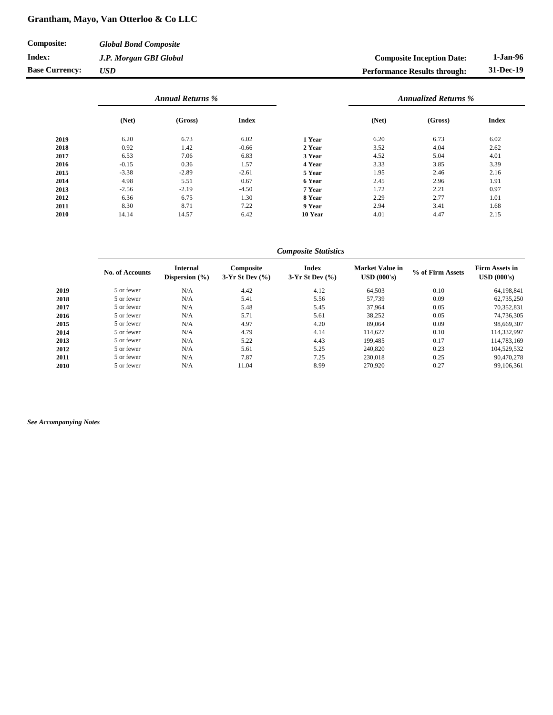## **Grantham, Mayo, Van Otterloo & Co LLC**

| Composite:            | <b>Global Bond Composite</b> |                                     |           |
|-----------------------|------------------------------|-------------------------------------|-----------|
| Index:                | J.P. Morgan GBI Global       | <b>Composite Inception Date:</b>    | 1-Jan-96  |
| <b>Base Currency:</b> | <b>USD</b>                   | <b>Performance Results through:</b> | 31-Dec-19 |

|      | <b>Annual Returns %</b> |         |              |         | <b>Annualized Returns %</b> |         |              |
|------|-------------------------|---------|--------------|---------|-----------------------------|---------|--------------|
|      | (Net)                   | (Gross) | <b>Index</b> |         | (Net)                       | (Gross) | <b>Index</b> |
| 2019 | 6.20                    | 6.73    | 6.02         | 1 Year  | 6.20                        | 6.73    | 6.02         |
| 2018 | 0.92                    | 1.42    | $-0.66$      | 2 Year  | 3.52                        | 4.04    | 2.62         |
| 2017 | 6.53                    | 7.06    | 6.83         | 3 Year  | 4.52                        | 5.04    | 4.01         |
| 2016 | $-0.15$                 | 0.36    | 1.57         | 4 Year  | 3.33                        | 3.85    | 3.39         |
| 2015 | $-3.38$                 | $-2.89$ | $-2.61$      | 5 Year  | 1.95                        | 2.46    | 2.16         |
| 2014 | 4.98                    | 5.51    | 0.67         | 6 Year  | 2.45                        | 2.96    | 1.91         |
| 2013 | $-2.56$                 | $-2.19$ | $-4.50$      | 7 Year  | 1.72                        | 2.21    | 0.97         |
| 2012 | 6.36                    | 6.75    | 1.30         | 8 Year  | 2.29                        | 2.77    | 1.01         |
| 2011 | 8.30                    | 8.71    | 7.22         | 9 Year  | 2.94                        | 3.41    | 1.68         |
| 2010 | 14.14                   | 14.57   | 6.42         | 10 Year | 4.01                        | 4.47    | 2.15         |

**No. of Accounts Internal Dispersion (%) Composite 3-Yr St Dev (%) Index 3-Yr St Dev (%) Market Value in USD (000's) % of Firm Assets Firm Assets in USD (000's) 2019** 5 or fewer N/A 4.42 4.12 64,503 0.10 64,198,841 **2018** 5 or fewer N/A 5.41 5.56 57,739 0.09 62,735,250 **2017** 5 or fewer N/A 5.48 5.45 37,964 0.05 70,352,831 **2016** 5 or fewer N/A 5.71 5.61 38,252 0.05 74,736,305 **2015** 5 or fewer N/A 4.97 4.20 89,064 0.09 98,669,307 **2014** 5 or fewer N/A 4.79 4.14 114,627 0.10 114,332,997 **2013** 5 or fewer N/A 5.22 4.43 199,485 0.17 114,783,169 **2012** 5 or fewer N/A 5.61 5.25 240,820 0.23 104,529,532 **2011** 5 or fewer N/A 7.87 7.25 230,018 0.25 90,470,278 **2010** 5 or fewer N/A 11.04 8.99 270,920 0.27 99,106,361 *Composite Statistics*

*See Accompanying Notes*